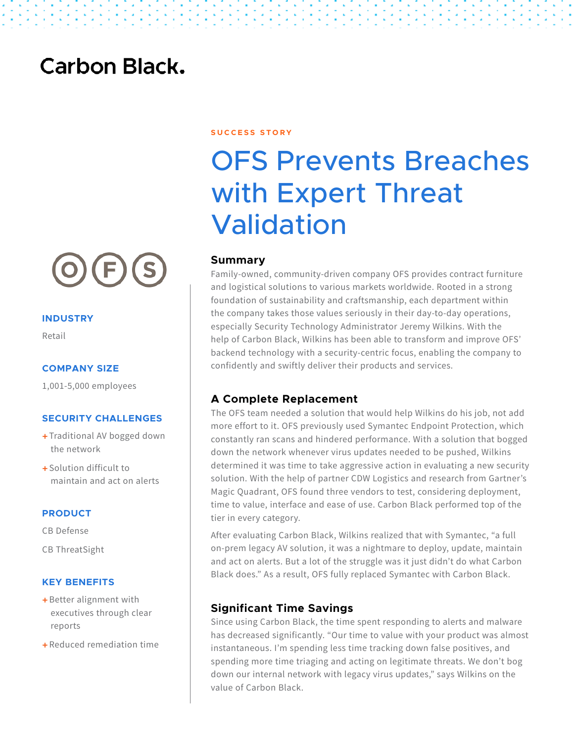## **Carbon Black.**



#### **INDUSTRY**

Retail

#### **COMPANY SIZE**

1,001-5,000 employees

#### **SECURITY CHALLENGES**

- + Traditional AV bogged down the network
- $\pm$  Solution difficult to maintain and act on alerts

#### **PRODUCT**

CB Defense

CB ThreatSight

#### **KEY BENEFITS**

- + Better alignment with executives through clear reports
- + Reduced remediation time

**S U C C E S S S T O R Y** 

# OFS Prevents Breaches with Expert Threat Validation

#### **Summary**

Family-owned, community-driven company OFS provides contract furniture and logistical solutions to various markets worldwide. Rooted in a strong foundation of sustainability and craftsmanship, each department within the company takes those values seriously in their day-to-day operations, especially Security Technology Administrator Jeremy Wilkins. With the help of Carbon Black, Wilkins has been able to transform and improve OFS' backend technology with a security-centric focus, enabling the company to confidently and swiftly deliver their products and services.

#### **A Complete Replacement**

The OFS team needed a solution that would help Wilkins do his job, not add more effort to it. OFS previously used Symantec Endpoint Protection, which constantly ran scans and hindered performance. With a solution that bogged down the network whenever virus updates needed to be pushed, Wilkins determined it was time to take aggressive action in evaluating a new security solution. With the help of partner CDW Logistics and research from Gartner's Magic Quadrant, OFS found three vendors to test, considering deployment, time to value, interface and ease of use. Carbon Black performed top of the tier in every category.

After evaluating Carbon Black, Wilkins realized that with Symantec, "a full on-prem legacy AV solution, it was a nightmare to deploy, update, maintain and act on alerts. But a lot of the struggle was it just didn't do what Carbon Black does." As a result, OFS fully replaced Symantec with Carbon Black.

#### **Significant Time Savings**

Since using Carbon Black, the time spent responding to alerts and malware has decreased significantly. "Our time to value with your product was almost instantaneous. I'm spending less time tracking down false positives, and spending more time triaging and acting on legitimate threats. We don't bog down our internal network with legacy virus updates," says Wilkins on the value of Carbon Black.